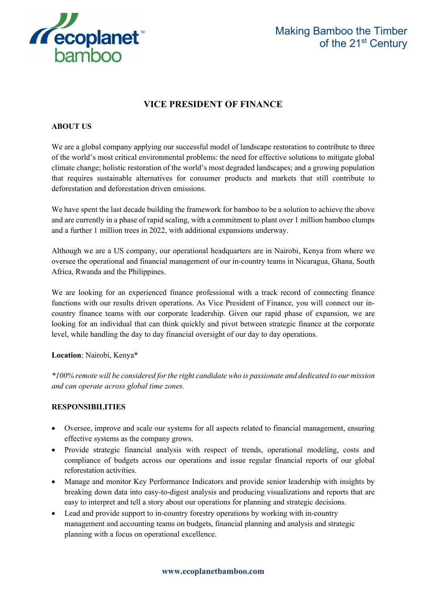

# **VICE PRESIDENT OF FINANCE**

# **ABOUT US**

We are a global company applying our successful model of landscape restoration to contribute to three of the world's most critical environmental problems: the need for effective solutions to mitigate global climate change; holistic restoration of the world's most degraded landscapes; and a growing population that requires sustainable alternatives for consumer products and markets that still contribute to deforestation and deforestation driven emissions.

We have spent the last decade building the framework for bamboo to be a solution to achieve the above and are currently in a phase of rapid scaling, with a commitment to plant over 1 million bamboo clumps and a further 1 million trees in 2022, with additional expansions underway.

Although we are a US company, our operational headquarters are in Nairobi, Kenya from where we oversee the operational and financial management of our in-country teams in Nicaragua, Ghana, South Africa, Rwanda and the Philippines.

We are looking for an experienced finance professional with a track record of connecting finance functions with our results driven operations. As Vice President of Finance, you will connect our incountry finance teams with our corporate leadership. Given our rapid phase of expansion, we are looking for an individual that can think quickly and pivot between strategic finance at the corporate level, while handling the day to day financial oversight of our day to day operations.

# **Location**: Nairobi, Kenya\*

*\*100% remote will be considered for the right candidate who is passionate and dedicated to our mission and can operate across global time zones.*

# **RESPONSIBILITIES**

- Oversee, improve and scale our systems for all aspects related to financial management, ensuring effective systems as the company grows.
- Provide strategic financial analysis with respect of trends, operational modeling, costs and compliance of budgets across our operations and issue regular financial reports of our global reforestation activities.
- Manage and monitor Key Performance Indicators and provide senior leadership with insights by breaking down data into easy-to-digest analysis and producing visualizations and reports that are easy to interpret and tell a story about our operations for planning and strategic decisions.
- Lead and provide support to in-country forestry operations by working with in-country management and accounting teams on budgets, financial planning and analysis and strategic planning with a focus on operational excellence.

#### **www.ecoplanetbamboo.com**